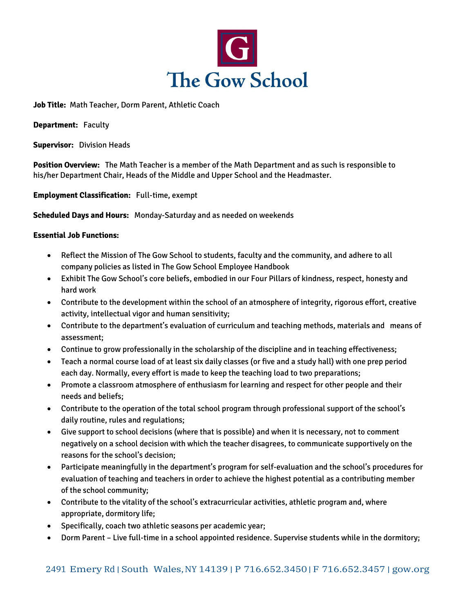

**Job Title:** Math Teacher, Dorm Parent, Athletic Coach

**Department:** Faculty

**Supervisor:** Division Heads

**Position Overview:** The Math Teacher is a member of the Math Department and as such is responsible to his/her Department Chair, Heads of the Middle and Upper School and the Headmaster.

**Employment Classification:** Full-time, exempt

**Scheduled Days and Hours:** Monday-Saturday and as needed on weekends

## **Essential Job Functions:**

- Reflect the Mission of The Gow School to students, faculty and the community, and adhere to all company policies as listed in The Gow School Employee Handbook
- Exhibit The Gow School's core beliefs, embodied in our Four Pillars of kindness, respect, honesty and hard work
- Contribute to the development within the school of an atmosphere of integrity, rigorous effort, creative activity, intellectual vigor and human sensitivity;
- Contribute to the department's evaluation of curriculum and teaching methods, materials and means of assessment;
- Continue to grow professionally in the scholarship of the discipline and in teaching effectiveness;
- Teach a normal course load of at least six daily classes (or five and a study hall) with one prep period each day. Normally, every effort is made to keep the teaching load to two preparations;
- Promote a classroom atmosphere of enthusiasm for learning and respect for other people and their needs and beliefs;
- Contribute to the operation of the total school program through professional support of the school's daily routine, rules and regulations;
- Give support to school decisions (where that is possible) and when it is necessary, not to comment negatively on a school decision with which the teacher disagrees, to communicate supportively on the reasons for the school's decision;
- Participate meaningfully in the department's program for self-evaluation and the school's procedures for evaluation of teaching and teachers in order to achieve the highest potential as a contributing member of the school community;
- Contribute to the vitality of the school's extracurricular activities, athletic program and, where appropriate, dormitory life;
- Specifically, coach two athletic seasons per academic year;
- Dorm Parent Live full-time in a school appointed residence. Supervise students while in the dormitory;